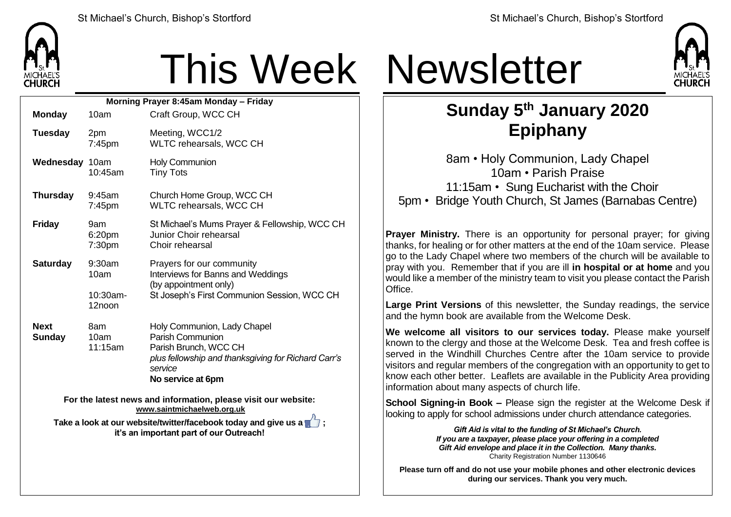

## This Week Newsletter

| Morning Prayer 8:45am Monday - Friday                          |                              |                         |                                                                                                                                                                 |
|----------------------------------------------------------------|------------------------------|-------------------------|-----------------------------------------------------------------------------------------------------------------------------------------------------------------|
|                                                                | <b>Monday</b>                | 10am                    | Craft Group, WCC CH                                                                                                                                             |
|                                                                | <b>Tuesday</b>               | 2pm<br>7:45pm           | Meeting, WCC1/2<br>WLTC rehearsals, WCC CH                                                                                                                      |
|                                                                | Wednesday 10am               | 10:45am                 | <b>Holy Communion</b><br><b>Tiny Tots</b>                                                                                                                       |
|                                                                | <b>Thursday</b>              | 9:45am<br>7:45pm        | Church Home Group, WCC CH<br>WLTC rehearsals, WCC CH                                                                                                            |
|                                                                | <b>Friday</b>                | 9am<br>6:20pm<br>7:30pm | St Michael's Mums Prayer & Fellowship, WCC CH<br>Junior Choir rehearsal<br>Choir rehearsal                                                                      |
|                                                                | <b>Saturday</b>              | 9:30am<br>10am          | Prayers for our community<br>Interviews for Banns and Weddings<br>(by appointment only)<br>St Joseph's First Communion Session, WCC CH                          |
|                                                                |                              | $10:30$ am-<br>12noon   |                                                                                                                                                                 |
|                                                                | <b>Next</b><br><b>Sunday</b> | 8am<br>10am<br>11:15am  | Holy Communion, Lady Chapel<br>Parish Communion<br>Parish Brunch, WCC CH<br>plus fellowship and thanksgiving for Richard Carr's<br>service<br>No service at 6pm |
| Ear the latest news and information, please visit our website: |                              |                         |                                                                                                                                                                 |

**For the latest news and information, please visit our website: [www.saintmichaelweb.org.uk](http://www.saintmichaelweb.org.uk/)**

**Take a look at our website/twitter/facebook today and give us a**  $\blacksquare$ **: it's an important part of our Outreach!**



## **Sunday 5 th January 2020 Epiphany**

8am • Holy Communion, Lady Chapel 10am • Parish Praise 11:15am • Sung Eucharist with the Choir 5pm • Bridge Youth Church, St James (Barnabas Centre)

**Prayer Ministry.** There is an opportunity for personal prayer; for giving thanks, for healing or for other matters at the end of the 10am service. Please go to the Lady Chapel where two members of the church will be available to pray with you. Remember that if you are ill **in hospital or at home** and you would like a member of the ministry team to visit you please contact the Parish **Office** 

**Large Print Versions** of this newsletter, the Sunday readings, the service and the hymn book are available from the Welcome Desk.

**We welcome all visitors to our services today.** Please make yourself known to the clergy and those at the Welcome Desk. Tea and fresh coffee is served in the Windhill Churches Centre after the 10am service to provide visitors and regular members of the congregation with an opportunity to get to know each other better. Leaflets are available in the Publicity Area providing information about many aspects of church life.

**School Signing-in Book –** Please sign the register at the Welcome Desk if looking to apply for school admissions under church attendance categories.

> *Gift Aid is vital to the funding of St Michael's Church. If you are a taxpayer, please place your offering in a completed Gift Aid envelope and place it in the Collection. Many thanks.* Charity Registration Number 1130646

**Please turn off and do not use your mobile phones and other electronic devices during our services. Thank you very much.**